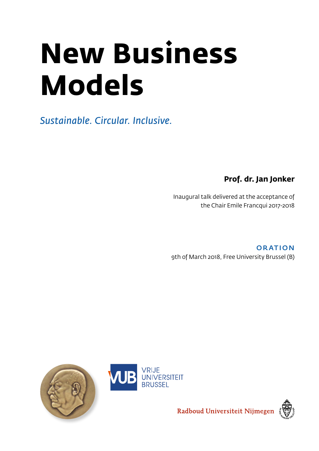# **New Business Models**

*Sustainable. Circular. Inclusive.*

**Prof. dr. Jan Jonker**

Inaugural talk delivered at the acceptance of the Chair Emile Francqui 2017-2018

**ORATION** 9th of March 2018, Free University Brussel (B)







Radboud Universiteit Nijmegen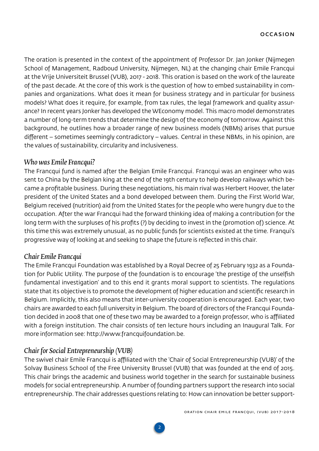<span id="page-1-0"></span>The oration is presented in the context of the appointment of Professor Dr. Jan Jonker (Nijmegen School of Management, Radboud University, Nijmegen, NL) at the changing chair Emile Francqui at the Vrije Universiteit Brussel (VUB), 2017 - 2018. This oration is based on the work of the laureate of the past decade. At the core of this work is the question of how to embed sustainability in companies and organizations. What does it mean for business strategy and in particular for business models? What does it require, for example, from tax rules, the legal framework and quality assurance? In recent years Jonker has developed the WEconomy model. This macro model demonstrates a number of long-term trends that determine the design of the economy of tomorrow. Against this background, he outlines how a broader range of new business models (NBMs) arises that pursue different – sometimes seemingly contradictory – values. Central in these NBMs, in his opinion, are the values of sustainability, circularity and inclusiveness.

## *Who was Emile Francqui?*

The Francqui fund is named after the Belgian Emile Francqui. Francqui was an engineer who was sent to China by the Belgian king at the end of the 19th century to help develop railways which became a profitable business. During these negotiations, his main rival was Herbert Hoover, the later president of the United States and a bond developed between them. During the First World War, Belgium received (nutrition) aid from the United States for the people who were hungry due to the occupation. After the war Francqui had the forward thinking idea of making a contribution for the long term with the surpluses of his profits (?) by deciding to invest in the (promotion of) science. At this time this was extremely unusual, as no public funds for scientists existed at the time. Franqui's progressive way of looking at and seeking to shape the future is reflected in this chair.

## *Chair Emile Francqui*

The Emile Francqui Foundation was established by a Royal Decree of 25 February 1932 as a Foundation for Public Utility. The purpose of the foundation is to encourage 'the prestige of the unselfish fundamental investigation' and to this end it grants moral support to scientists. The regulations state that its objective is to promote the development of higher education and scientific research in Belgium. Implicitly, this also means that inter-university cooperation is encouraged. Each year, two chairs are awarded to each full university in Belgium. The board of directors of the Francqui Foundation decided in 2008 that one of these two may be awarded to a foreign professor, who is affiliated with a foreign institution. The chair consists of ten lecture hours including an Inaugural Talk. For more information see: [http://www.francquifoundation.be.](http://www.francquifoundation.be)

## *Chair for Social Entrepreneurship (VUB)*

The swivel chair Emile Francqui is affiliated with the 'Chair of Social Entrepreneurship (VUB)' of the Solvay Business School of the Free University Brussel (VUB) that was founded at the end of 2015. This chair brings the academic and business world together in the search for sustainable business models for social entrepreneurship. A number of founding partners support the research into social entrepreneurship. The chair addresses questions relating to: How can innovation be better support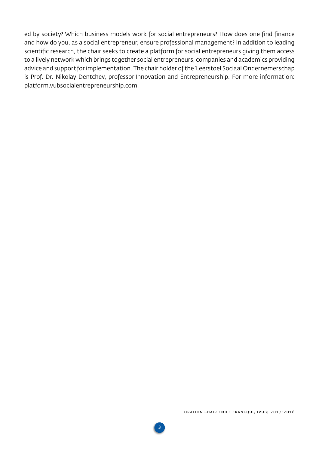ed by society? Which business models work for social entrepreneurs? How does one find finance and how do you, as a social entrepreneur, ensure professional management? In addition to leading scientific research, the chair seeks to create a platform for social entrepreneurs giving them access to a lively network which brings together social entrepreneurs, companies and academics providing advice and support for implementation. The chair holder of the 'Leerstoel Sociaal Ondernemerschap is Prof. Dr. Nikolay Dentchev, professor Innovation and Entrepreneurship. For more information: platform.vubsocialentrepreneurship.com.

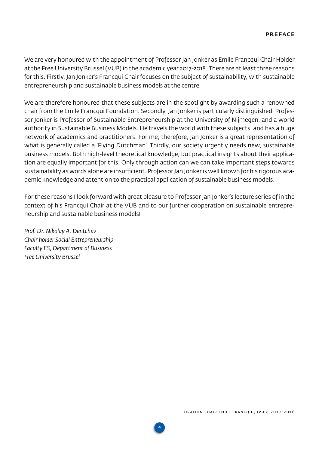<span id="page-3-0"></span>We are very honoured with the appointment of Professor Jan Jonker as Emile Francqui Chair Holder at the Free University Brussel (VUB) in the academic year 2017-2018. There are at least three reasons for this. Firstly, Jan Jonker's Francqui Chair focuses on the subject of sustainability, with sustainable entrepreneurship and sustainable business models at the centre.

We are therefore honoured that these subjects are in the spotlight by awarding such a renowned chair from the Emile Francqui Foundation. Secondly, Jan Jonker is particularly distinguished. Professor Jonker is Professor of Sustainable Entrepreneurship at the University of Nijmegen, and a world authority in Sustainable Business Models. He travels the world with these subjects, and has a huge network of academics and practitioners. For me, therefore, Jan Jonker is a great representation of what is generally called a 'Flying Dutchman'. Thirdly, our society urgently needs new, sustainable business models. Both high-level theoretical knowledge, but practical insights about their application are equally important for this. Only through action can we can take important steps towards sustainability as words alone are insufficient. Professor Jan Jonker is well known for his rigorous academic knowledge and attention to the practical application of sustainable business models.

For these reasons I look forward with great pleasure to Professor Jan Jonker's lecture series of in the context of his Francqui Chair at the VUB and to our further cooperation on sustainable entrepreneurship and sustainable business models!

**4**

*Prof. Dr. Nikolay A. Dentchev Chair holder Social Entrepreneurship Faculty ES, Department of Business Free University Brussel*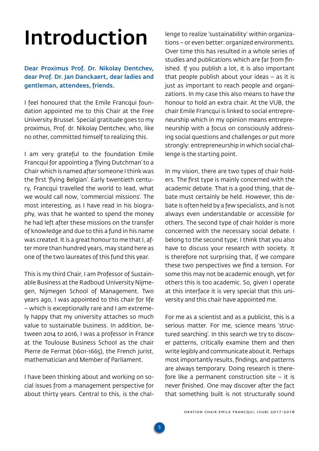## <span id="page-4-0"></span>Introduction

Dear Proximus Prof. Dr. Nikolay Dentchev, dear Prof. Dr. Jan Danckaert, dear ladies and gentleman, attendees, friends.

I feel honoured that the Emile Francqui foundation appointed me to this Chair at the Free University Brussel. Special gratitude goes to my proximus, Prof. dr. Nikolay Dentchev, who, like no other, committed himself to realizing this.

I am very grateful to the foundation Emile Francqui for appointing a 'flying Dutchman' to a Chair which is named after someone I think was the first 'flying Belgian'. Early twentieth century, Francqui travelled the world to lead, what we would call now, 'commercial missions'. The most interesting, as I have read in his biography, was that he wanted to spend the money he had left after these missions on the transfer of knowledge and due to this a fund in his name was created. It is a great honour to me that I, after more than hundred years, may stand here as one of the two laureates of this fund this year.

This is my third Chair, I am Professor of Sustainable Business at the Radboud University Nijmegen, Nijmegen School of Management. Two years ago, I was appointed to this chair for life – which is exceptionally rare and I am extremely happy that my university attaches so much value to sustainable business. In addition, between 2014 to 2016, I was a professor in France at the Toulouse Business School as the chair Pierre de Fermat (1601-1665), the French jurist, mathematician and Member of Parliament.

I have been thinking about and working on social issues from a management perspective for about thirty years. Central to this, is the challenge to realize 'sustainability' within organizations – or even better: organized environments. Over time this has resulted in a whole series of studies and publications which are far from finished. If you publish a lot, it is also important that people publish about your ideas – as it is just as important to reach people and organizations. In my case this also means to have the honour to hold an extra chair. At the VUB, the chair Emile Francqui is linked to social entrepreneurship which in my opinion means entrepreneurship with a focus on consciously addressing social questions and challenges or put more strongly: entrepreneurship in which social challenge is the starting point.

In my vision, there are two types of chair holders. The first type is mainly concerned with the academic debate. That is a good thing, that debate must certainly be held. However, this debate is often held by a few specialists, and is not always even understandable or accessible for others. The second type of chair holder is more concerned with the necessary social debate. I belong to the second type; I think that you also have to discuss your research with society. It is therefore not surprising that, if we compare these two perspectives we find a tension. For some this may not be academic enough, yet for others this is too academic. So, given I operate at this interface it is very special that this university and this chair have appointed me.

For me as a scientist and as a publicist, this is a serious matter. For me, science means 'structured searching'. In this search we try to discover patterns, critically examine them and then write legibly and communicate about it. Perhaps most importantly results, findings, and patterns are always temporary. Doing research is therefore like a permanent construction site  $-$  it is never finished. One may discover after the fact that something built is not structurally sound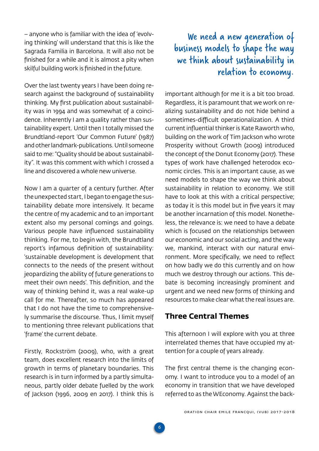<span id="page-5-0"></span>– anyone who is familiar with the idea of 'evolving thinking' will understand that this is like the Sagrada Familia in Barcelona. It will also not be finished for a while and it is almost a pity when skilful building work is finished in the future.

Over the last twenty years I have been doing research against the background of sustainability thinking. My first publication about sustainability was in 1994 and was somewhat of a coincidence. Inherently I am a quality rather than sustainability expert. Until then I totally missed the Brundtland-report 'Our Common Future' (1987) and other landmark-publications. Until someone said to me: "Quality should be about sustainability". It was this comment with which I crossed a line and discovered a whole new universe.

Now I am a quarter of a century further. After the unexpected start, I began to engage the sustainability debate more intensively. It became the centre of my academic and to an important extent also my personal comings and goings. Various people have influenced sustainability thinking. For me, to begin with, the Brundtland report's infamous definition of sustainability: 'sustainable development is development that connects to the needs of the present without jeopardizing the ability of future generations to meet their own needs'. This definition, and the way of thinking behind it, was a real wake-up call for me. Thereafter, so much has appeared that I do not have the time to comprehensively summarise the discourse. Thus, I limit myself to mentioning three relevant publications that 'frame' the current debate.

Firstly, Rockström (2009), who, with a great team, does excellent research into the limits of growth in terms of planetary boundaries. This research is in turn informed by a partly simultaneous, partly older debate fuelled by the work of Jackson (1996, 2009 en 2017). I think this is

## We need a new generation of business models to shape the way we think about sustainability in relation to economy.

important although for me it is a bit too broad. Regardless, it is paramount that we work on realizing sustainability and do not hide behind a sometimes-difficult operationalization. A third current influential thinker is Kate Raworth who, building on the work of Tim Jackson who wrote Prosperity without Growth (2009) introduced the concept of the Donut Economy (2017). These types of work have challenged heterodox economic circles. This is an important cause, as we need models to shape the way we think about sustainability in relation to economy. We still have to look at this with a critical perspective; as today it is this model but in five years it may be another incarnation of this model. Nonetheless, the relevance is: we need to have a debate which is focused on the relationships between our economic and our social acting, and the way we, mankind, interact with our natural environment. More specifically, we need to reflect on how badly we do this currently and on how much we destroy through our actions. This debate is becoming increasingly prominent and urgent and we need new forms of thinking and resources to make clear what the real issues are.

## **Three Central Themes**

This afternoon I will explore with you at three interrelated themes that have occupied my attention for a couple of years already.

The first central theme is the changing economy. I want to introduce you to a model of an economy in transition that we have developed referred to as the WEconomy. Against the back-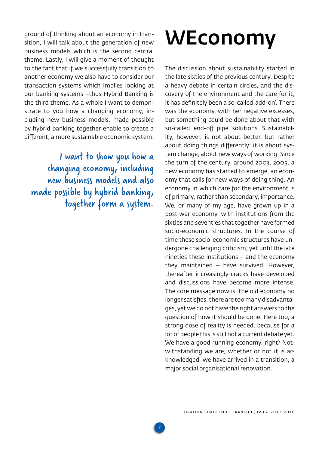<span id="page-6-0"></span>ground of thinking about an economy in transition, I will talk about the generation of new business models which is the second central theme. Lastly, I will give a moment of thought to the fact that if we successfully transition to another economy we also have to consider our transaction systems which implies looking at our banking systems –thus Hybrid Banking is the third theme. As a whole I want to demonstrate to you how a changing economy, including new business models, made possible by hybrid banking together enable to create a different, a more sustainable economic system.

I want to show you how a changing economy, including new business models and also made possible by hybrid banking, together form a system.

## WEconomy

The discussion about sustainability started in the late sixties of the previous century. Despite a heavy debate in certain circles, and the discovery of the environment and the care for it, it has definitely been a so-called 'add-on'. There was the economy, with her negative excesses, but something could be done about that with so-called 'end-off pipe' solutions. Sustainability, however, is not about better, but rather about doing things differently: it is about system change, about new ways of working. Since the turn of the century, around 2003, 2005, a new economy has started to emerge, an economy that calls for new ways of doing thing. An economy in which care for the environment is of primary, rather than secondary, importance. We, or many of my age, have grown up in a post-war economy, with institutions from the sixties and seventies that together have formed socio-economic structures. In the course of time these socio-economic structures have undergone challenging criticism, yet until the late nineties these institutions – and the economy they maintained – have survived. However, thereafter increasingly cracks have developed and discussions have become more intense. The core message now is: the old economy no longer satisfies, there are too many disadvantages, yet we do not have the right answers to the question of how it should be done. Here too, a strong dose of reality is needed, because for a lot of people this is still not a current debate yet. We have a good running economy, right? Notwithstanding we are, whether or not it is acknowledged, we have arrived in a transition, a major social organisational renovation.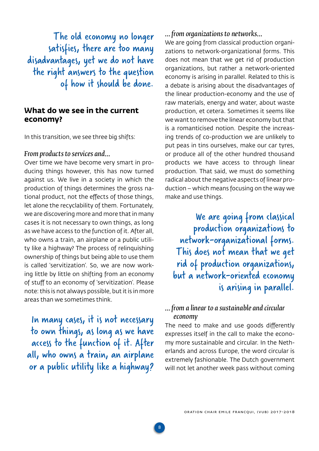<span id="page-7-0"></span>The old economy no longer satisfies, there are too many disadvantages, yet we do not have the right answers to the question of how it should be done.

## **What do we see in the current economy?**

In this transition, we see three big shifts:

### *From products to services and…*

Over time we have become very smart in producing things however, this has now turned against us. We live in a society in which the production of things determines the gross national product, not the effects of those things, let alone the recyclability of them. Fortunately, we are discovering more and more that in many cases it is not necessary to own things, as long as we have access to the function of it. After all, who owns a train, an airplane or a public utility like a highway? The process of relinquishing ownership of things but being able to use them is called 'servitization'. So, we are now working little by little on shifting from an economy of stuff to an economy of 'servitization'. Please note: this is not always possible, but it is in more areas than we sometimes think.

In many cases, it is not necessary to own things, as long as we have access to the function of it. After all, who owns a train, an airplane or a public utility like a highway?

## *… from organizations to networks…*

We are going from classical production organizations to network-organizational forms. This does not mean that we get rid of production organizations, but rather a network-oriented economy is arising in parallel. Related to this is a debate is arising about the disadvantages of the linear production-economy and the use of raw materials, energy and water, about waste production, et cetera. Sometimes it seems like we want to remove the linear economy but that is a romanticised notion. Despite the increasing trends of co-production we are unlikely to put peas in tins ourselves, make our car tyres, or produce all of the other hundred thousand products we have access to through linear production. That said, we must do something radical about the negative aspects of linear production – which means focusing on the way we make and use things.

We are going from classical production organizations to network-organizational forms. This does not mean that we get rid of production organizations, but a network-oriented economy is arising in parallel.

## *… from a linear to a sustainable and circular economy*

The need to make and use goods differently expresses itself in the call to make the economy more sustainable and circular. In the Netherlands and across Europe, the word circular is extremely fashionable. The Dutch government will not let another week pass without coming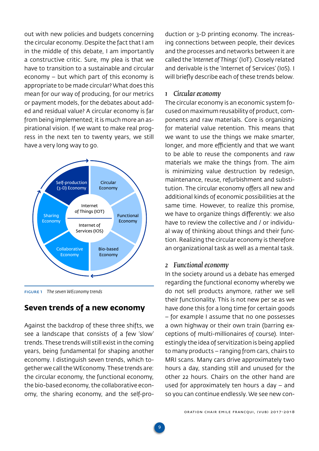<span id="page-8-0"></span>out with new policies and budgets concerning the circular economy. Despite the fact that I am in the middle of this debate, I am importantly a constructive critic. Sure, my plea is that we have to transition to a sustainable and circular economy – but which part of this economy is appropriate to be made circular? What does this mean for our way of producing, for our metrics or payment models, for the debates about added and residual value? A circular economy is far from being implemented; it is much more an aspirational vision. If we want to make real progress in the next ten to twenty years, we still have a very long way to go.



Figure 1 *The seven WEconomy trends*

## **Seven trends of a new economy**

Against the backdrop of these three shifts, we see a landscape that consists of a few 'slow' trends. These trends will still exist in the coming years, being fundamental for shaping another economy. I distinguish seven trends, which together we call the WEconomy. These trends are: the circular economy, the functional economy, the bio-based economy, the collaborative economy, the sharing economy, and the self-production or 3-D printing economy. The increasing connections between people, their devices and the processes and networks between it are called the '*Internet of Things*' (IoT). Closely related and derivable is the 'Internet of Services' (IoS). I will briefly describe each of these trends below.

### *1 Circular economy*

The circular economy is an economic system focused on maximum reusability of product, components and raw materials. Core is organizing for material value retention. This means that we want to use the things we make smarter, longer, and more efficiently and that we want to be able to reuse the components and raw materials we make the things from. The aim is minimizing value destruction by redesign, maintenance, reuse, refurbishment and substitution. The circular economy offers all new and additional kinds of economic possibilities at the same time. However, to realize this promise, we have to organize things differently: we also have to review the collective and / or individual way of thinking about things and their function. Realizing the circular economy is therefore an organizational task as well as a mental task.

## *2 Functional economy*

In the society around us a debate has emerged regarding the functional economy whereby we do not sell products anymore, rather we sell their functionality. This is not new per se as we have done this for a long time for certain goods – for example I assume that no one possesses a own highway or their own train (barring exceptions of multi-millionaires of course). Interestingly the idea of servitization is being applied to many products – ranging from cars, chairs to MRI scans. Many cars drive approximately two hours a day, standing still and unused for the other 22 hours. Chairs on the other hand are used for approximately ten hours a day – and so you can continue endlessly. We see new con-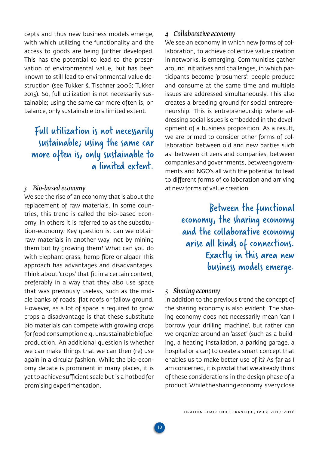<span id="page-9-0"></span>cepts and thus new business models emerge, with which utilizing the functionality and the access to goods are being further developed. This has the potential to lead to the preservation of environmental value, but has been known to still lead to environmental value destruction (see Tukker & Tischner 2006; Tukker 2015). So, full utilization is not necessarily sustainable; using the same car more often is, on balance, only sustainable to a limited extent.

## Full utilization is not necessarily sustainable; using the same car more often is, only sustainable to a limited extent.

## *3 Bio-based economy*

We see the rise of an economy that is about the replacement of raw materials. In some countries, this trend is called the Bio-based Economy, in others it is referred to as the substitution-economy. Key question is: can we obtain raw materials in another way, not by mining them but by growing them? What can you do with Elephant grass, hemp fibre or algae? This approach has advantages and disadvantages. Think about 'crops' that fit in a certain context, preferably in a way that they also use space that was previously useless, such as the middle banks of roads, flat roofs or fallow ground. However, as a lot of space is required to grow crops a disadvantage is that these substitute bio materials can compete with growing crops for food consumption e.g. unsustainable biofuel production. An additional question is whether we can make things that we can then (re) use again in a circular fashion. While the bio-economy debate is prominent in many places, it is yet to achieve sufficient scale but is a hotbed for promising experimentation.

## *4 Collaborative economy*

We see an economy in which new forms of collaboration, to achieve collective value creation in networks, is emerging. Communities gather around initiatives and challenges, in which participants become 'prosumers': people produce and consume at the same time and multiple issues are addressed simultaneously. This also creates a breeding ground for social entrepreneurship. This is entrepreneurship where addressing social issues is embedded in the development of a business proposition. As a result, we are primed to consider other forms of collaboration between old and new parties such as: between citizens and companies, between companies and governments, between governments and NGO's all with the potential to lead to different forms of collaboration and arriving at new forms of value creation.

> Between the functional economy, the sharing economy and the collaborative economy arise all kinds of connections. Exactly in this area new business models emerge.

### *5 Sharing economy*

**10**

In addition to the previous trend the concept of the sharing economy is also evident. The sharing economy does not necessarily mean 'can I borrow your drilling machine', but rather can we organize around an 'asset' (such as a building, a heating installation, a parking garage, a hospital or a car) to create a smart concept that enables us to make better use of it? As far as I am concerned, it is pivotal that we already think of these considerations in the design phase of a product. While the sharing economy is very close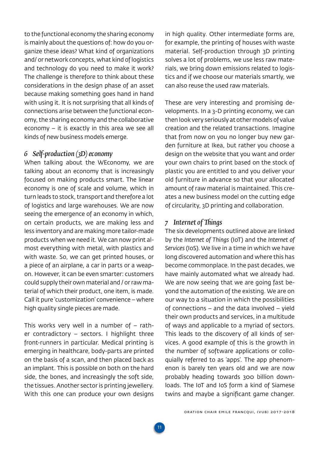<span id="page-10-0"></span>to the functional economy the sharing economy is mainly about the questions of: how do you organize these ideas? What kind of organizations and/ or network concepts, what kind of logistics and technology do you need to make it work? The challenge is therefore to think about these considerations in the design phase of an asset because making something goes hand in hand with using it. It is not surprising that all kinds of connections arise between the functional economy, the sharing economy and the collaborative economy – it is exactly in this area we see all kinds of new business models emerge.

## *6 Self-production (3D) economy*

When talking about the WEconomy, we are talking about an economy that is increasingly focused on making products smart. The linear economy is one of scale and volume, which in turn leads to stock, transport and therefore a lot of logistics and large warehouses. We are now seeing the emergence of an economy in which, on certain products, we are making less and less inventory and are making more tailor-made products when we need it. We can now print almost everything with metal, with plastics and with waste. So, we can get printed houses, or a piece of an airplane, a car in parts or a weapon. However, it can be even smarter: customers could supply their own material and / or raw material of which their product, one item, is made. Call it pure 'customization' convenience – where high quality single pieces are made.

This works very well in a number of  $-$  rather contradictory – sectors. I highlight three front-runners in particular. Medical printing is emerging in healthcare, body-parts are printed on the basis of a scan, and then placed back as an implant. This is possible on both on the hard side, the bones, and increasingly the soft side, the tissues. Another sector is printing jewellery. With this one can produce your own designs

in high quality. Other intermediate forms are, for example, the printing of houses with waste material. Self-production through 3D printing solves a lot of problems, we use less raw materials, we bring down emissions related to logistics and if we choose our materials smartly, we can also reuse the used raw materials.

These are very interesting and promising developments. In a 3-D printing economy, we can then look very seriously at other models of value creation and the related transactions. Imagine that from now on you no longer buy new garden furniture at Ikea, but rather you choose a design on the website that you want and order your own chairs to print based on the stock of plastic you are entitled to and you deliver your old furniture in advance so that your allocated amount of raw material is maintained. This creates a new business model on the cutting edge of circularity, 3D printing and collaboration.

## *7 Internet of Things*

The six developments outlined above are linked by the *Internet of Things* (IoT) and the *Internet of Services* (IoS). We live in a time in which we have long discovered automation and where this has become commonplace. In the past decades, we have mainly automated what we already had. We are now seeing that we are going fast beyond the automation of the existing. We are on our way to a situation in which the possibilities of connections – and the data involved – yield their own products and services, in a multitude of ways and applicable to a myriad of sectors. This leads to the discovery of all kinds of services. A good example of this is the growth in the number of software applications or colloquially referred to as 'apps'. The app phenomenon is barely ten years old and we are now probably heading towards 300 billion downloads. The IoT and IoS form a kind of Siamese twins and maybe a significant game changer.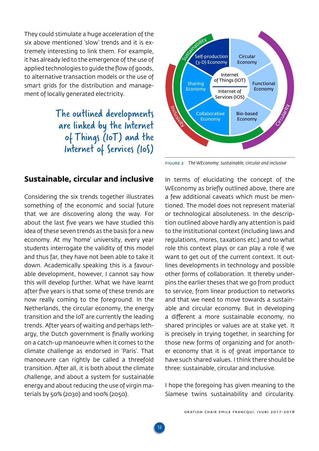<span id="page-11-0"></span>They could stimulate a huge acceleration of the six above mentioned 'slow' trends and it is extremely interesting to link them. For example, it has already led to the emergence of the use of applied technologies to guide the flow of goods, to alternative transaction models or the use of smart grids for the distribution and management of locally generated electricity.

> The outlined developments are linked by the Internet of Things (IoT) and the Internet of Services (IoS)

## **Sustainable, circular and inclusive**

Considering the six trends together illustrates something of the economic and social future that we are discovering along the way. For about the last five years we have studied this idea of these seven trends as the basis for a new economy. At my 'home' university, every year students interrogate the validity of this model and thus far, they have not been able to take it down. Academically speaking this is a favourable development, however, I cannot say how this will develop further. What we have learnt after five years is that some of these trends are now really coming to the foreground. In the Netherlands, the circular economy, the energy transition and the IoT are currently the leading trends. After years of waiting and perhaps lethargy, the Dutch government is finally working on a catch-up manoeuvre when it comes to the climate challenge as endorsed in 'Paris'. That manoeuvre can rightly be called a threefold transition. After all, it is both about the climate challenge, and about a system for sustainable energy and about reducing the use of virgin materials by 50% (2030) and 100% (2050).



Figure 2 *The WEconomy: sustainable, circular and inclusive*

In terms of elucidating the concept of the WEconomy as briefly outlined above, there are a few additional caveats which must be mentioned. The model does not represent material or technological absoluteness. In the description outlined above hardly any attention is paid to the institutional context (including laws and regulations, mores, taxations etc.) and to what role this context plays or can play a role if we want to get out of the current context. It outlines developments in technology and possible other forms of collaboration. It thereby underpins the earlier theses that we go from product to service, from linear production to networks and that we need to move towards a sustainable and circular economy. But in developing a different a more sustainable economy, no shared principles or values are at stake yet. It is precisely in trying together, in searching for those new forms of organizing and for another economy that it is of great importance to have such shared values. I think there should be three: sustainable, circular and inclusive.

I hope the foregoing has given meaning to the Siamese twins sustainability and circularity.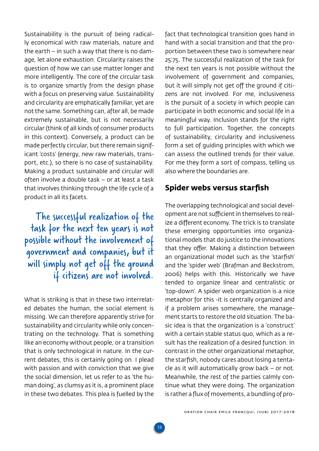<span id="page-12-0"></span>Sustainability is the pursuit of being radically economical with raw materials, nature and the earth – in such a way that there is no damage, let alone exhaustion. Circularity raises the question of how we can use matter longer and more intelligently. The core of the circular task is to organize smartly from the design phase with a focus on preserving value. Sustainability and circularity are emphatically familiar, yet are not the same. Something can, after all, be made extremely sustainable, but is not necessarily circular (think of all kinds of consumer products in this context). Conversely, a product can be made perfectly circular, but there remain significant 'costs' (energy, new raw materials, transport, etc.), so there is no case of sustainability. Making a product sustainable and circular will often involve a double task – or at least a task that involves thinking through the life cycle of a product in all its facets.

The successful realization of the task for the next ten years is not possible without the involvement of government and companies, but it will simply not get off the ground if citizens are not involved.

What is striking is that in these two interrelated debates the human, the social element is missing. We can therefore apparently strive for sustainability and circularity while only concentrating on the technology. That is something like an economy without people, or a transition that is only technological in nature. In the current debates, this is certainly going on. I plead with passion and with conviction that we give the social dimension, let us refer to as 'the human doing', as clumsy as it is, a prominent place in these two debates. This plea is fuelled by the fact that technological transition goes hand in hand with a social transition and that the proportion between these two is somewhere near 25:75. The successful realization of the task for the next ten years is not possible without the involvement of government and companies, but it will simply not get off the ground if citizens are not involved. For me, inclusiveness is the pursuit of a society in which people can participate in both economic and social life in a meaningful way. Inclusion stands for the right to full participation. Together, the concepts of sustainability, circularity and inclusiveness form a set of guiding principles with which we can assess the outlined trends for their value. For me they form a sort of compass, telling us also where the boundaries are.

## **Spider webs versus starfish**

The overlapping technological and social development are not sufficient in themselves to realize a different economy. The trick is to translate these emerging opportunities into organizational models that do justice to the innovations that they offer. Making a distinction between an organizational model such as the 'starfish' and the 'spider web' (Brafman and Beckstrom, 2006) helps with this. Historically we have tended to organize linear and centralistic or 'top-down'. A spider web organization is a nice metaphor for this -it is centrally organized and if a problem arises somewhere, the management starts to restore the old situation. The basic idea is that the organization is a 'construct' with a certain stable status quo, which as a result has the realization of a desired function. In contrast in the other organizational metaphor, the starfish, nobody cares about losing a tentacle as it will automatically grow back – or not. Meanwhile, the rest of the parties calmly continue what they were doing. The organization is rather a flux of movements, a bundling of pro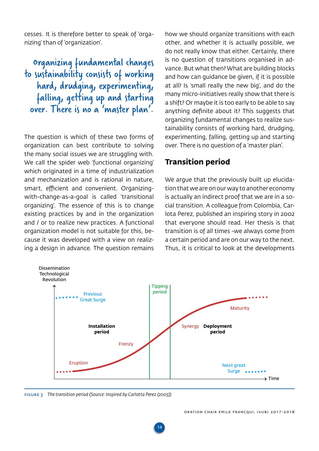<span id="page-13-0"></span>cesses. It is therefore better to speak of 'organizing' than of 'organization'.

Organizing fundamental changes to sustainability consists of working hard, drudging, experimenting, falling, getting up and starting over. There is no a 'master plan'.

The question is which of these two forms of organization can best contribute to solving the many social issues we are struggling with. We call the spider web 'functional organizing' which originated in a time of industrialization and mechanization and is rational in nature, smart, efficient and convenient. Organizingwith-change-as-a-goal is called 'transitional organizing'. The essence of this is to change existing practices by and in the organization and / or to realize new practices. A functional organization model is not suitable for this, because it was developed with a view on realizing a design in advance. The question remains how we should organize transitions with each other, and whether it is actually possible, we do not really know that either. Certainly, there is no question of transitions organised in advance. But what then? What are building blocks and how can guidance be given, if it is possible at all? Is 'small really the new big', and do the many micro-initiatives really show that there is a shift? Or maybe it is too early to be able to say anything definite about it? This suggests that organizing fundamental changes to realize sustainability consists of working hard, drudging, experimenting, falling, getting up and starting over. There is no question of a 'master plan'.

## **Transition period**

We arque that the previously built up elucidation that we are on our way to another economy is actually an indirect proof that we are in a social transition. A colleague from Colombia, Carlota Perez, published an inspiring story in 2002 that everyone should read. Her thesis is that transition is of all times -we always come from a certain period and are on our way to the next. Thus, it is critical to look at the developments



Figure 3 *The transition period (Source: Inspired by Carlotta Perez (2003))*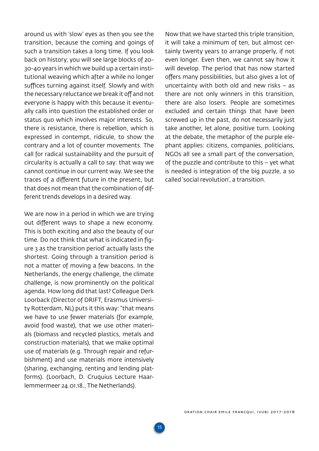around us with 'slow' eyes as then you see the transition, because the coming and goings of such a transition takes a long time. If you look back on history, you will see large blocks of 20- 30-40 years in which we build up a certain institutional weaving which after a while no longer suffices turning against itself. Slowly and with the necessary reluctance we break it off and not everyone is happy with this because it eventually calls into question the established order or status quo which involves major interests. So, there is resistance, there is rebellion, which is expressed in contempt, ridicule, to show the contrary and a lot of counter movements. The call for radical sustainability and the pursuit of circularity is actually a call to say: that way we cannot continue in our current way. We see the traces of a different future in the present, but that does not mean that the combination of different trends develops in a desired way.

We are now in a period in which we are trying out different ways to shape a new economy. This is both exciting and also the beauty of our time. Do not think that what is indicated in figure 3 as the transition period' actually lasts the shortest. Going through a transition period is not a matter of moving a few beacons. In the Netherlands, the energy challenge, the climate challenge, is now prominently on the political agenda. How long did that last? Colleague Derk Loorback (Director of DRIFT, Erasmus University Rotterdam, NL) puts it this way: "that means we have to use fewer materials (for example, avoid food waste), that we use other materials (biomass and recycled plastics, metals and construction materials), that we make optimal use of materials (e.g. Through repair and refurbishment) and use materials more intensively (sharing, exchanging, renting and lending platforms). (Loorbach, D. Cruquius Lecture Haarlemmermeer 24.01.18., The Netherlands).

Now that we have started this triple transition, it will take a minimum of ten, but almost certainly twenty years to arrange properly, if not even longer. Even then, we cannot say how it will develop. The period that has now started offers many possibilities, but also gives a lot of uncertainty with both old and new risks – as there are not only winners in this transition, there are also losers. People are sometimes excluded and certain things that have been screwed up in the past, do not necessarily just take another, let alone, positive turn. Looking at the debate, the metaphor of the purple elephant applies: citizens, companies, politicians, NGOs all see a small part of the conversation, of the puzzle and contribute to this – yet what is needed is integration of the big puzzle, a so called 'social revolution', a transition.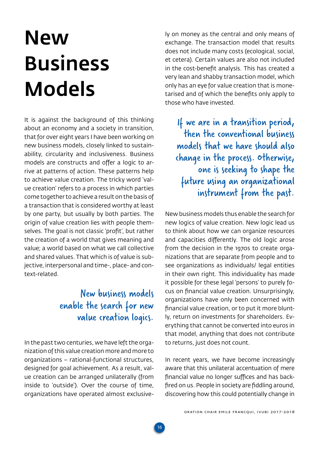## <span id="page-15-0"></span>New Business Models

It is against the background of this thinking about an economy and a society in transition, that for over eight years I have been working on new business models, closely linked to sustainability, circularity and inclusiveness. Business models are constructs and offer a logic to arrive at patterns of action. These patterns help to achieve value creation. The tricky word 'value creation' refers to a process in which parties come together to achieve a result on the basis of a transaction that is considered worthy at least by one party, but usually by both parties. The origin of value creation lies with people themselves. The goal is not classic 'profit', but rather the creation of a world that gives meaning and value; a world based on what we call collective and shared values. That which is of value is subjective, interpersonal and time-, place- and context-related.

## New business models enable the search for new value creation logics.

In the past two centuries, we have left the organization of this value creation more and more to organizations – rational-functional structures, designed for goal achievement. As a result, value creation can be arranged unilaterally (from inside to 'outside'). Over the course of time, organizations have operated almost exclusively on money as the central and only means of exchange. The transaction model that results does not include many costs (ecological, social, et cetera). Certain values are also not included in the cost-benefit analysis. This has created a very lean and shabby transaction model, which only has an eye for value creation that is monetarised and of which the benefits only apply to those who have invested.

If we are in a transition period, then the conventional business models that we have should also change in the process. Otherwise, one is seeking to shape the future using an organizational instrument from the past.

New business models thus enable the search for new logics of value creation. New logic lead us to think about how we can organize resources and capacities differently. The old logic arose from the decision in the 1970s to create organizations that are separate from people and to see organizations as individuals/ legal entities in their own right. This individuality has made it possible for these legal 'persons' to purely focus on financial value creation. Unsurprisingly, organizations have only been concerned with financial value creation, or to put it more bluntly, return on investments for shareholders. Everything that cannot be converted into euros in that model, anything that does not contribute to returns, just does not count.

In recent years, we have become increasingly aware that this unilateral accentuation of mere financial value no longer suffices and has backfired on us. People in society are fiddling around, discovering how this could potentially change in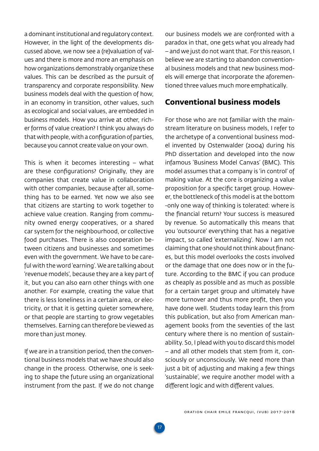<span id="page-16-0"></span>a dominant institutional and regulatory context. However, in the light of the developments discussed above, we now see a (re)valuation of values and there is more and more an emphasis on how organizations demonstrably organize these values. This can be described as the pursuit of transparency and corporate responsibility. New business models deal with the question of how, in an economy in transition, other values, such as ecological and social values, are embedded in business models. How you arrive at other, richer forms of value creation? I think you always do that with people, with a configuration of parties, because you cannot create value on your own.

This is when it becomes interesting – what are these configurations? Originally, they are companies that create value in collaboration with other companies, because after all, something has to be earned. Yet now we also see that citizens are starting to work together to achieve value creation. Ranging from community owned energy cooperatives, or a shared car system for the neighbourhood, or collective food purchases. There is also cooperation between citizens and businesses and sometimes even with the government. We have to be careful with the word 'earning'. We are talking about 'revenue models', because they are a key part of it, but you can also earn other things with one another. For example, creating the value that there is less loneliness in a certain area, or electricity, or that it is getting quieter somewhere, or that people are starting to grow vegetables themselves. Earning can therefore be viewed as more than just money.

If we are in a transition period, then the conventional business models that we have should also change in the process. Otherwise, one is seeking to shape the future using an organizational instrument from the past. If we do not change

**17**

our business models we are confronted with a paradox in that, one gets what you already had – and we just do not want that. For this reason, I believe we are starting to abandon conventional business models and that new business models will emerge that incorporate the aforementioned three values much more emphatically.

## **Conventional business models**

For those who are not familiar with the mainstream literature on business models, I refer to the archetype of a conventional business model invented by Ostenwalder (2004) during his PhD dissertation and developed into the now infamous 'Business Model Canvas' (BMC). This model assumes that a company is 'in control' of making value. At the core is organizing a value proposition for a specific target group. However, the bottleneck of this model is at the bottom -only one way of thinking is tolerated: where is the financial return? Your success is measured by revenue. So automatically this means that you 'outsource' everything that has a negative impact, so called 'externalizing'. Now I am not claiming that one should not think about finances, but this model overlooks the costs involved or the damage that one does now or in the future. According to the BMC if you can produce as cheaply as possible and as much as possible for a certain target group and ultimately have more turnover and thus more profit, then you have done well. Students today learn this from this publication, but also from American management books from the seventies of the last century where there is no mention of sustainability. So, I plead with you to discard this model – and all other models that stem from it, consciously or unconsciously. We need more than just a bit of adjusting and making a few things 'sustainable', we require another model with a different logic and with different values.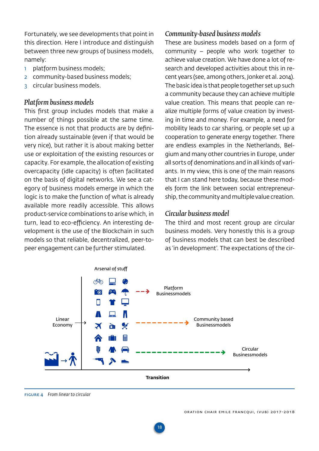<span id="page-17-0"></span>Fortunately, we see developments that point in this direction. Here I introduce and distinguish between three new groups of business models, namely:

- 1 platform business models;
- 2 community-based business models;
- 3 circular business models.

## *Platform business models*

This first group includes models that make a number of things possible at the same time. The essence is not that products are by definition already sustainable (even if that would be very nice), but rather it is about making better use or exploitation of the existing resources or capacity. For example, the allocation of existing overcapacity (idle capacity) is often facilitated on the basis of digital networks. We see a category of business models emerge in which the logic is to make the function of what is already available more readily accessible. This allows product-service combinations to arise which, in turn, lead to eco-efficiency. An interesting development is the use of the Blockchain in such models so that reliable, decentralized, peer-topeer engagement can be further stimulated.

## *Community-based business models*

These are business models based on a form of community – people who work together to achieve value creation. We have done a lot of research and developed activities about this in recent years (see, among others, Jonker et al. 2014). The basic idea is that people together set up such a community because they can achieve multiple value creation. This means that people can realize multiple forms of value creation by investing in time and money. For example, a need for mobility leads to car sharing, or people set up a cooperation to generate energy together. There are endless examples in the Netherlands, Belgium and many other countries in Europe, under all sorts of denominations and in all kinds of variants. In my view, this is one of the main reasons that I can stand here today, because these models form the link between social entrepreneurship, the community and multiple value creation.

## *Circular business model*

The third and most recent group are circular business models. Very honestly this is a group of business models that can best be described as 'in development'. The expectations of the cir-

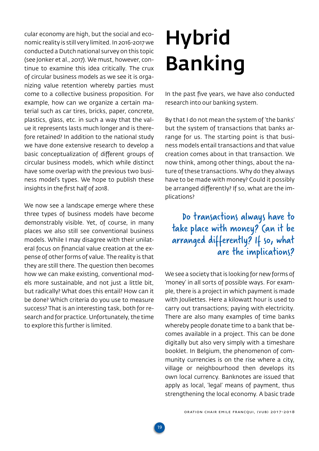<span id="page-18-0"></span>cular economy are high, but the social and economic reality is still very limited. In 2016-2017 we conducted a Dutch national survey on this topic (see Jonker et al., 2017). We must, however, continue to examine this idea critically. The crux of circular business models as we see it is organizing value retention whereby parties must come to a collective business proposition. For example, how can we organize a certain material such as car tires, bricks, paper, concrete, plastics, glass, etc. in such a way that the value it represents lasts much longer and is therefore retained? In addition to the national study we have done extensive research to develop a basic conceptualization of different groups of circular business models, which while distinct have some overlap with the previous two business model's types. We hope to publish these insights in the first half of 2018.

We now see a landscape emerge where these three types of business models have become demonstrably visible. Yet, of course, in many places we also still see conventional business models. While I may disagree with their unilateral focus on financial value creation at the expense of other forms of value. The reality is that they are still there. The question then becomes how we can make existing, conventional models more sustainable, and not just a little bit, but radically? What does this entail? How can it be done? Which criteria do you use to measure success? That is an interesting task, both for research and for practice. Unfortunately, the time to explore this further is limited.

## **Hybrid** Banking

In the past five years, we have also conducted research into our banking system.

By that I do not mean the system of 'the banks' but the system of transactions that banks arrange for us. The starting point is that business models entail transactions and that value creation comes about in that transaction. We now think, among other things, about the nature of these transactions. Why do they always have to be made with money? Could it possibly be arranged differently? If so, what are the implications?

## Do transactions always have to take place with money? Can it be arranged differently? If so, what are the implications?

We see a society that is looking for new forms of 'money' in all sorts of possible ways. For example, there is a project in which payment is made with Jouliettes. Here a kilowatt hour is used to carry out transactions; paying with electricity. There are also many examples of time banks whereby people donate time to a bank that becomes available in a project. This can be done digitally but also very simply with a timeshare booklet. In Belgium, the phenomenon of community currencies is on the rise where a city, village or neighbourhood then develops its own local currency. Banknotes are issued that apply as local, 'legal' means of payment, thus strengthening the local economy. A basic trade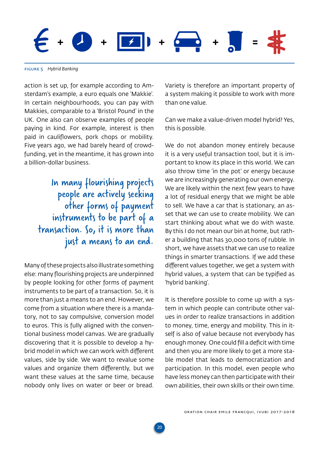**+ + + + =**

**20**

Figure 5 *Hybrid Banking*

action is set up, for example according to Amsterdam's example, a euro equals one 'Makkie'. In certain neighbourhoods, you can pay with Makkies, comparable to a 'Bristol Pound' in the UK. One also can observe examples of people paying in kind. For example, interest is then paid in cauliflowers, pork chops or mobility. Five years ago, we had barely heard of crowdfunding, yet in the meantime, it has grown into a billion-dollar business.

> In many flourishing projects people are actively seeking other forms of payment instruments to be part of a transaction. So, it is more than just a means to an end.

Many of these projects also illustrate something else: many flourishing projects are underpinned by people looking for other forms of payment instruments to be part of a transaction. So, it is more than just a means to an end. However, we come from a situation where there is a mandatory, not to say compulsive, conversion model to euros. This is fully aligned with the conventional business model canvas. We are gradually discovering that it is possible to develop a hybrid model in which we can work with different values, side by side. We want to revalue some values and organize them differently, but we want these values at the same time, because nobody only lives on water or beer or bread.

Variety is therefore an important property of a system making it possible to work with more than one value.

Can we make a value-driven model hybrid? Yes, this is possible.

We do not abandon money entirely because it is a very useful transaction tool, but it is important to know its place in this world. We can also throw time 'in the pot' or energy because we are increasingly generating our own energy. We are likely within the next few years to have a lot of residual energy that we might be able to sell. We have a car that is stationary, an asset that we can use to create mobility. We can start thinking about what we do with waste. By this I do not mean our bin at home, but rather a building that has 30,000 tons of rubble. In short, we have assets that we can use to realize things in smarter transactions. If we add these different values together, we get a system with hybrid values, a system that can be typified as 'hybrid banking'.

It is therefore possible to come up with a system in which people can contribute other values in order to realize transactions in addition to money, time, energy and mobility. This in itself is also of value because not everybody has enough money. One could fill a deficit with time and then you are more likely to get a more stable model that leads to democratization and participation. In this model, even people who have less money can then participate with their own abilities, their own skills or their own time.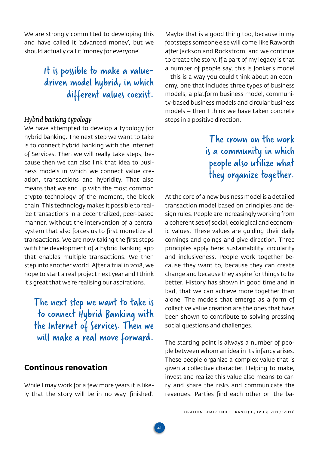<span id="page-20-0"></span>We are strongly committed to developing this and have called it 'advanced money', but we should actually call it 'money for everyone'.

## It is possible to make a valuedriven model hybrid, in which different values coexist.

## *Hybrid banking typology*

We have attempted to develop a typology for hybrid banking. The next step we want to take is to connect hybrid banking with the Internet of Services. Then we will really take steps, because then we can also link that idea to business models in which we connect value creation, transactions and hybridity. That also means that we end up with the most common crypto-technology of the moment, the block chain. This technology makes it possible to realize transactions in a decentralized, peer-based manner, without the intervention of a central system that also forces us to first monetize all transactions. We are now taking the first steps with the development of a hybrid banking app that enables multiple transactions. We then step into another world. After a trial in 2018, we hope to start a real project next year and I think it's great that we're realising our aspirations.

The next step we want to take is to connect Hybrid Banking with the Internet of Services. Then we will make a real move forward.

## **Continous renovation**

While I may work for a few more years it is likely that the story will be in no way 'finished'.

**21**

Maybe that is a good thing too, because in my footsteps someone else will come like Raworth after Jackson and Rockström, and we continue to create the story. If a part of my legacy is that a number of people say, this is Jonker's model – this is a way you could think about an economy, one that includes three types of business models, a platform business model, community-based business models and circular business models – then I think we have taken concrete steps in a positive direction.

## The crown on the work is a community in which people also utilize what they organize together.

At the core of a new business model is a detailed transaction model based on principles and design rules. People are increasingly working from a coherent set of social, ecological and economic values. These values are guiding their daily comings and goings and give direction. Three principles apply here: sustainability, circularity and inclusiveness. People work together because they want to, because they can create change and because they aspire for things to be better. History has shown in good time and in bad, that we can achieve more together than alone. The models that emerge as a form of collective value creation are the ones that have been shown to contribute to solving pressing social questions and challenges.

The starting point is always a number of people between whom an idea in its infancy arises. These people organize a complex value that is given a collective character. Helping to make, invest and realize this value also means to carry and share the risks and communicate the revenues. Parties find each other on the ba-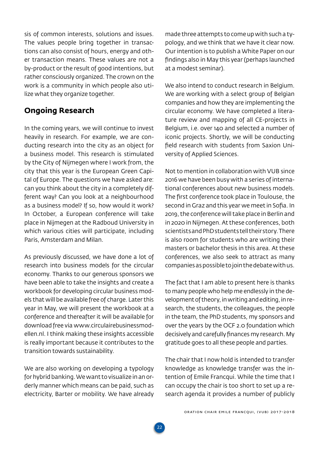<span id="page-21-0"></span>sis of common interests, solutions and issues. The values people bring together in transactions can also consist of hours, energy and other transaction means. These values are not a by-product or the result of good intentions, but rather consciously organized. The crown on the work is a community in which people also utilize what they organize together.

## **Ongoing Research**

In the coming years, we will continue to invest heavily in research. For example, we are conducting research into the city as an object for a business model. This research is stimulated by the City of Nijmegen where I work from, the city that this year is the European Green Capital of Europe. The questions we have asked are: can you think about the city in a completely different way? Can you look at a neighbourhood as a business model? If so, how would it work? In October, a European conference will take place in Nijmegen at the Radboud University in which various cities will participate, including Paris, Amsterdam and Milan.

As previously discussed, we have done a lot of research into business models for the circular economy. Thanks to our generous sponsors we have been able to take the insights and create a workbook for developing circular business models that will be available free of charge. Later this year in May, we will present the workbook at a conference and thereafter it will be available for download free via [www.circulairebusinessmod](http://www.circulairebusinessmodellen.nl)[ellen.nl.](http://www.circulairebusinessmodellen.nl) I think making these insights accessible is really important because it contributes to the transition towards sustainability.

We are also working on developing a typology for hybrid banking. We want to visualize in an orderly manner which means can be paid, such as electricity, Barter or mobility. We have already

**22**

made three attempts to come up with such a typology, and we think that we have it clear now. Our intention is to publish a White Paper on our findings also in May this year (perhaps launched at a modest seminar).

We also intend to conduct research in Belgium. We are working with a select group of Belgian companies and how they are implementing the circular economy. We have completed a literature review and mapping of all CE-projects in Belgium, i.e. over 140 and selected a number of iconic projects. Shortly, we will be conducting field research with students from Saxion University of Applied Sciences.

Not to mention in collaboration with VUB since 2016 we have been busy with a series of international conferences about new business models. The first conference took place in Toulouse, the second in Graz and this year we meet in Sofia. In 2019, the conference will take place in Berlin and in 2020 in Nijmegen. At these conferences, both scientists and PhD students tell their story. There is also room for students who are writing their masters or bachelor thesis in this area. At these conferences, we also seek to attract as many companies as possible to join the debate with us.

The fact that I am able to present here is thanks to many people who help me endlessly in the development of theory, in writing and editing, in research, the students, the colleagues, the people in the team, the PhD students, my sponsors and over the years by the OCF 2.0 foundation which decisively and carefully finances my research. My gratitude goes to all these people and parties.

The chair that I now hold is intended to transfer knowledge as knowledge transfer was the intention of Emile Francqui. While the time that I can occupy the chair is too short to set up a research agenda it provides a number of publicly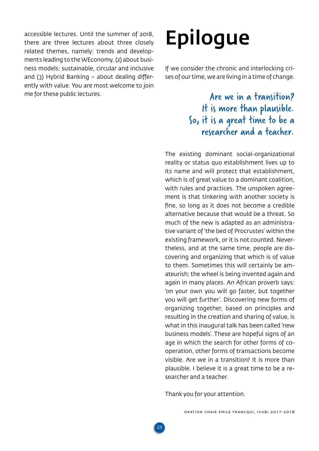<span id="page-22-0"></span>accessible lectures. Until the summer of 2018, there are three lectures about three closely related themes, namely: trends and developments leading to the WEconomy, (2) about business models: sustainable, circular and inclusive and  $(3)$  Hybrid Banking – about dealing differently with value. You are most welcome to join me for these public lectures.

## Epilogue

If we consider the chronic and interlocking crises of our time, we are living in a time of change.

> Are we in a transition? It is more than plausible. So, it is a great time to be a researcher and a teacher.

The existing dominant social-organizational reality or status quo establishment lives up to its name and will protect that establishment, which is of great value to a dominant coalition, with rules and practices. The unspoken agreement is that tinkering with another society is fine, so long as it does not become a credible alternative because that would be a threat. So much of the new is adapted as an administrative variant of 'the bed of Procrustes' within the existing framework, or it is not counted. Nevertheless, and at the same time, people are discovering and organizing that which is of value to them. Sometimes this will certainly be amateurish; the wheel is being invented again and again in many places. An African proverb says: 'on your own you will go faster, but together you will get further'. Discovering new forms of organizing together, based on principles and resulting in the creation and sharing of value, is what in this inaugural talk has been called 'new business models'. These are hopeful signs of an age in which the search for other forms of cooperation, other forms of transactions become visible. Are we in a transition? It is more than plausible. I believe it is a great time to be a researcher and a teacher.

Thank you for your attention.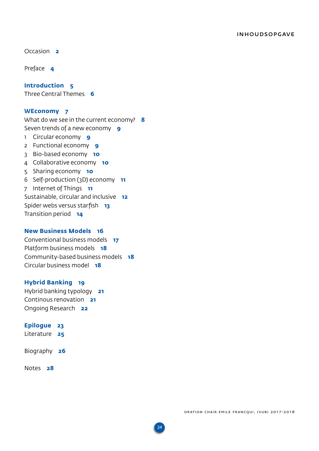[Occasion](#page-1-0) **2**

[Preface](#page-3-0) **4**

**[Introduction](#page-4-0) 5** [Three Central Themes](#page-5-0) **6**

### **[WEconomy](#page-6-0) 7**

[What do we see in the current economy?](#page-7-0) **8** [Seven trends of a new economy](#page-8-0) **9** 1 [Circular economy](#page-8-0) **9** 2 [Functional economy](#page-8-0) **9** 3 [Bio-based economy](#page-9-0) **10** 4 [Collaborative economy](#page-9-0) **10** 5 [Sharing economy](#page-9-0) **10** 6 [Self-production \(3D\) economy](#page-10-0) **11** 7 [Internet of Things](#page-10-0) **11** [Sustainable, circular and inclusive](#page-11-0) **12** [Spider webs versus starfish](#page-12-0) **13** [Transition period](#page-13-0) **14**

### **[New Business Models](#page-15-0) 16**

[Conventional business models](#page-16-0) **17** [Platform business models](#page-17-0) **18** [Community-based business models](#page-17-0) **18** [Circular business model](#page-17-0) **18**

### **[Hybrid Banking](#page-18-0) 19**

[Hybrid banking typology](#page-20-0) **21** [Continous renovation](#page-20-0) **21** [Ongoing Research](#page-21-0) **22**

## **[Epilogue](#page-22-0) 23**

[Literature](#page-24-0) **25**

[Biography](#page-25-0) **26**

[Notes](#page-27-0) **28**

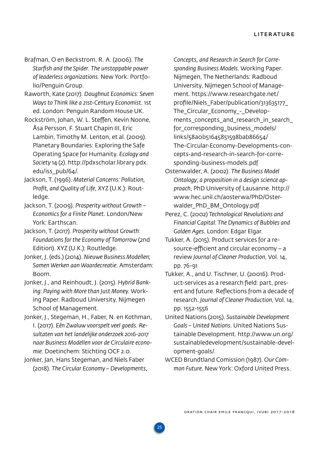- <span id="page-24-0"></span>Brafman, O en Beckstrom, R. A. (2006). *The Starfish and the Spider. The unstoppable power of leaderless organizations*. New York: Portfolio/Penguin Group.
- Raworth, Kate (2017). *Doughnut Economics: Seven Ways to Think like a 21st-Century Economist*. 1st ed. London: Penguin Random House UK.
- Rockström, Johan, W. L. Steffen, Kevin Noone, Åsa Persson, F. Stuart Chapin III, Eric Lambin, Timothy M. Lenton, et al. (2009). Planetary Boundaries: Exploring the Safe Operating Space for Humanity. *Ecology and Society* 14 (2). [http://pdxscholar.library.pdx.](http://pdxscholar.library.pdx.edu/iss_pub/64/) [edu/iss\\_pub/64/](http://pdxscholar.library.pdx.edu/iss_pub/64/).
- Jackson, T. (1996). *Material Concerns: Pollution, Profit, and Quality of Life*, XYZ (U.K.): Routledge.
- Jackson, T. (2009). *Prosperity without Growth Economics for a Finite Planet*. London/New York: Earthscan.
- Jackson, T. (2017). *Prosperity without Growth: Foundations for the Economy of Tomorrow* (2nd Edition). XYZ (U.K.): Routledge.
- Jonker, J. (eds.) (2014). *Nieuwe Business Modellen; Samen Werken aan Waardecreatie*. Amsterdam: Boom.
- Jonker, J., and Reinhoudt, J. (2015). *Hybrid Banking: Paying with More than Just Money*. Working Paper. Radboud University, Nijmegen School of Management.
- Jonker, J., Stegeman, H., Faber, N. en Kothman, I. (2017). *Eén Zwaluw voorspelt veel goeds. Resultaten van het landelijke onderzoek 2016-2017 naar Business Modellen voor de Circulaire economie*. Doetinchem: Stichting OCF 2.0.
- Jonker, Jan, Hans Stegeman, and Niels Faber (2018). *The Circular Economy – Developments,*

*Concepts, and Research in Search for Corresponding Business Models*. Working Paper. Nijmegen, The Netherlands: Radboud University, Nijmegen School of Management. [https://www.researchgate.net/](https://www.researchgate.net/profile/Niels_Faber/publication/313635177_The_Circular_Economy_-_Developments_concepts_and_research_in_search_for_corresponding_business_models/links/58a0b51645851598bab86654/The-Circular-Economy-Developments-concepts-and-rese) [profile/Niels\\_Faber/publication/313635177\\_](https://www.researchgate.net/profile/Niels_Faber/publication/313635177_The_Circular_Economy_-_Developments_concepts_and_research_in_search_for_corresponding_business_models/links/58a0b51645851598bab86654/The-Circular-Economy-Developments-concepts-and-rese) [The\\_Circular\\_Economy\\_-\\_Develop](https://www.researchgate.net/profile/Niels_Faber/publication/313635177_The_Circular_Economy_-_Developments_concepts_and_research_in_search_for_corresponding_business_models/links/58a0b51645851598bab86654/The-Circular-Economy-Developments-concepts-and-rese)[ments\\_concepts\\_and\\_research\\_in\\_search\\_](https://www.researchgate.net/profile/Niels_Faber/publication/313635177_The_Circular_Economy_-_Developments_concepts_and_research_in_search_for_corresponding_business_models/links/58a0b51645851598bab86654/The-Circular-Economy-Developments-concepts-and-rese) [for\\_corresponding\\_business\\_models/](https://www.researchgate.net/profile/Niels_Faber/publication/313635177_The_Circular_Economy_-_Developments_concepts_and_research_in_search_for_corresponding_business_models/links/58a0b51645851598bab86654/The-Circular-Economy-Developments-concepts-and-rese) [links/58a0b51645851598bab86654/](https://www.researchgate.net/profile/Niels_Faber/publication/313635177_The_Circular_Economy_-_Developments_concepts_and_research_in_search_for_corresponding_business_models/links/58a0b51645851598bab86654/The-Circular-Economy-Developments-concepts-and-rese) [The-Circular-Economy-Developments-con](https://www.researchgate.net/profile/Niels_Faber/publication/313635177_The_Circular_Economy_-_Developments_concepts_and_research_in_search_for_corresponding_business_models/links/58a0b51645851598bab86654/The-Circular-Economy-Developments-concepts-and-rese)[cepts-and-research-in-search-for-corre](https://www.researchgate.net/profile/Niels_Faber/publication/313635177_The_Circular_Economy_-_Developments_concepts_and_research_in_search_for_corresponding_business_models/links/58a0b51645851598bab86654/The-Circular-Economy-Developments-concepts-and-rese)[sponding-business-models.pdf](https://www.researchgate.net/profile/Niels_Faber/publication/313635177_The_Circular_Economy_-_Developments_concepts_and_research_in_search_for_corresponding_business_models/links/58a0b51645851598bab86654/The-Circular-Economy-Developments-concepts-and-rese)

- Ostenwalder, A. (2002). *The Business Model Ontology; a proposition in a design science approach*, PhD University of Lausanne. [http://](http://www.hec.unil.ch/aosterwa/PhD/Osterwalder_PhD_BM_Ontology.pdf) [www.hec.unil.ch/aosterwa/PhD/Oster](http://www.hec.unil.ch/aosterwa/PhD/Osterwalder_PhD_BM_Ontology.pdf)[walder\\_PhD\\_BM\\_Ontology.pdf](http://www.hec.unil.ch/aosterwa/PhD/Osterwalder_PhD_BM_Ontology.pdf)
- Perez, C. (2002) *Technological Revolutions and Financial Capital: The Dynamics of Bubbles and Golden Ages*. London: Edgar Elgar.
- Tukker, A. (2015). Product services for a resource-efficient and circular economy – a review *Journal of Cleaner Production*, Vol. 14, pp. 76-91
- Tukker, A., and U. Tischner, U. (20016). Product-services as a research field: part, present and future. Reflections from a decade of research. *Journal of Cleaner Production*, Vol. 14, pp. 1552-1556
- United Nations (2015). *Sustainable Development Goals – United Nations*. United Nations Sustainable Development. [http://www.un.org/](http://www.un.org/sustainabledevelopment/sustainable-development-goals/) [sustainabledevelopment/sustainable-devel](http://www.un.org/sustainabledevelopment/sustainable-development-goals/)[opment-goals/](http://www.un.org/sustainabledevelopment/sustainable-development-goals/).
- WCED Brundtland Comission (1987). *Our Common Future*. New York: Oxford United Press.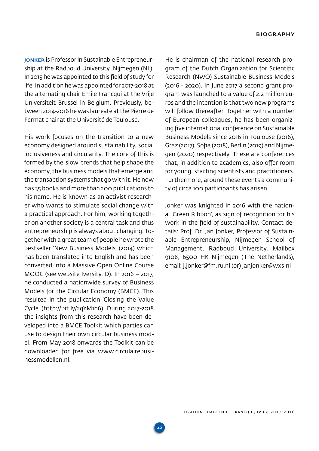<span id="page-25-0"></span>Jonker is Professor in Sustainable Entrepreneurship at the Radboud University, Nijmegen (NL). In 2015 he was appointed to this field of study for life. In addition he was appointed for 2017-2018 at the alternating chair Emile Francqui at the Vrije Universiteit Brussel in Belgium. Previously, between 2014-2016 he was laureate at the Pierre de Fermat chair at the Université de Toulouse.

His work focuses on the transition to a new economy designed around sustainability, social inclusiveness and circularity. The core of this is formed by the 'slow' trends that help shape the economy, the business models that emerge and the transaction systems that go with it. He now has 35 books and more than 200 publications to his name. He is known as an activist researcher who wants to stimulate social change with a practical approach. For him, working together on another society is a central task and thus entrepreneurship is always about changing. Together with a great team of people he wrote the bestseller 'New Business Models' (2014) which has been translated into English and has been converted into a Massive Open Online Course MOOC (see website Iversity, D). In 2016 – 2017, he conducted a nationwide survey of Business Models for the Circular Economy (BMCE). This resulted in the publication 'Closing the Value Cycle' [\(http://bit.ly/2qYM1h6\)](http://bit.ly/2qYM1h6). During 2017-2018 the insights from this research have been developed into a BMCE Toolkit which parties can use to design their own circular business model. From May 2018 onwards the Toolkit can be downloaded for free via [www.circulairebusi](http://www.circulairebusinessmodellen.nl)[nessmodellen.nl.](http://www.circulairebusinessmodellen.nl)

He is chairman of the national research program of the Dutch Organization for Scientific Research (NWO) Sustainable Business Models (2016 - 2020). In June 2017 a second grant program was launched to a value of 2.2 million euros and the intention is that two new programs will follow thereafter. Together with a number of European colleagues, he has been organizing five international conference on Sustainable Business Models since 2016 in Toulouse (2016), Graz (2017), Sofia (2018), Berlin (2019) and Nijmegen (2020) respectively. These are conferences that, in addition to academics, also offer room for young, starting scientists and practitioners. Furthermore, around these events a community of circa 100 participants has arisen.

Jonker was knighted in 2016 with the national 'Green Ribbon', as sign of recognition for his work in the field of sustainability. Contact details: Prof. Dr. Jan Jonker, Professor of Sustainable Entrepreneurship, Nijmegen School of Management, Radboud University, Mailbox 9108, 6500 HK Nijmegen (The Netherlands), email: [j.jonker@fm.ru.nl](mailto:j.jonker@fm.ru.nl) (or) [janjonker@wxs.nl](mailto:janjonker@wxs.nl)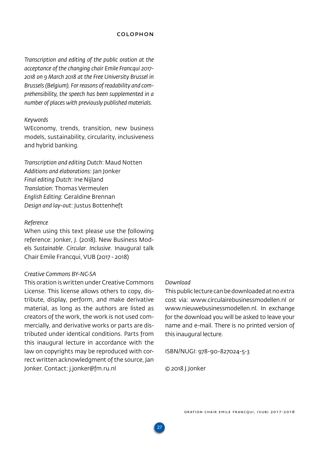#### Colophon

*Transcription and editing of the public oration at the acceptance of the changing chair Emile Francqui 2017- 2018 on 9 March 2018 at the Free University Brussel in Brussels (Belgium). For reasons of readability and comprehensibility, the speech has been supplemented in a number of places with previously published materials.*

#### *Keywords*

WEconomy, trends, transition, new business models, sustainability, circularity, inclusiveness and hybrid banking.

*Transcription and editing Dutch*: Maud Notten *Additions and elaborations*: Jan Jonker *Final editing Dutch*: Ine Nijland *Translation*: Thomas Vermeulen *English Editing*: Geraldine Brennan *Design and lay-out*: Justus Bottenheft

#### *Reference*

When using this text please use the following reference: Jonker, J. (2018). New Business Models *Sustainable. Circular. Inclusive*. Inaugural talk Chair Emile Francqui, VUB (2017 - 2018)

## *Creative Commons BY-NC-SA*

This oration is written under Creative Commons License. This license allows others to copy, distribute, display, perform, and make derivative material, as long as the authors are listed as creators of the work, the work is not used commercially, and derivative works or parts are distributed under identical conditions. Parts from this inaugural lecture in accordance with the law on copyrights may be reproduced with correct written acknowledgment of the source, Jan Jonker. Contact: [j.jonker@fm.ru.nl](mailto:j.jonker@fm.ru.nl)

#### *Download*

This public lecture can be downloaded at no extra cost via: [www.circulairebusinessmodellen.nl](http://www.circulairebusinessmodellen.nl) or [www.nieuwebusinessmodellen.nl](http://www.nieuwebusinessmodellen.nl). In exchange for the download you will be asked to leave your name and e-mail. There is no printed version of this inaugural lecture.

ISBN/NUGI: 978-90-827024-5-3

© 2018 J.Jonker